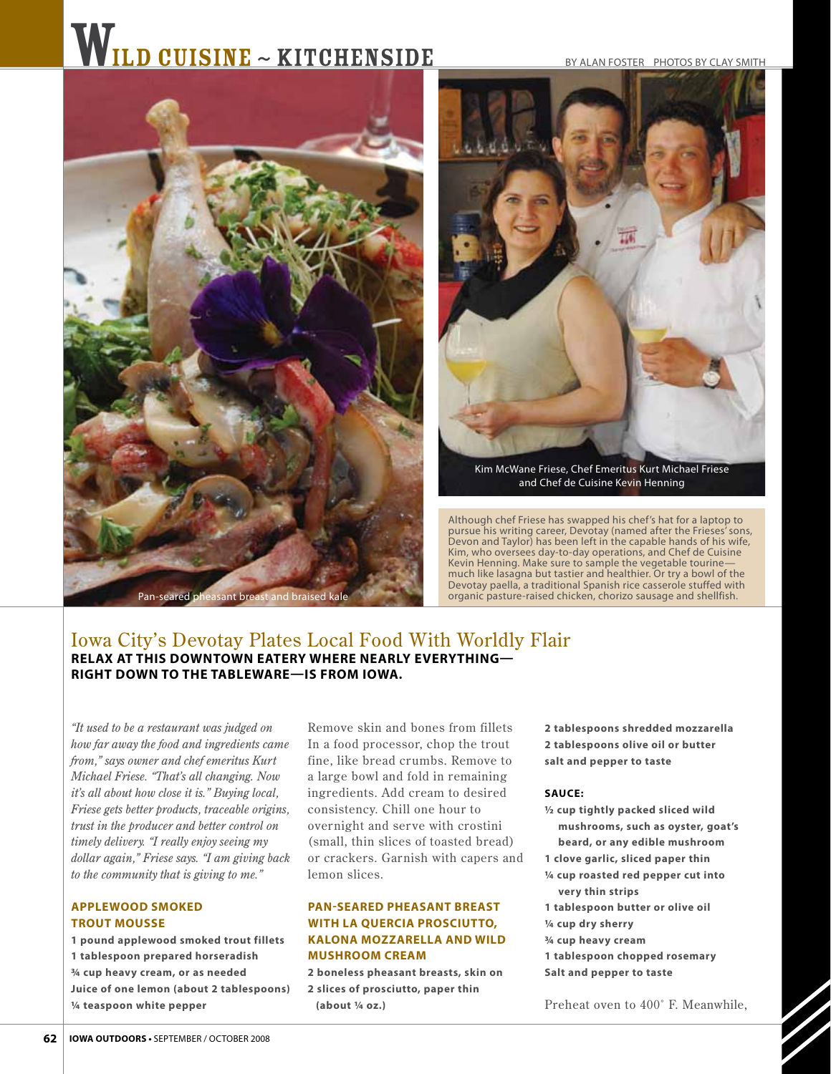# WILD CUISINE ~ KITCHENSIDE

#### BY ALAN FOSTER PHOTOS BY CLAY SMITH





Kim McWane Friese, Chef Emeritus Kurt Michael Friese and Chef de Cuisine Kevin Henning

Although chef Friese has swapped his chef's hat for a laptop to pursue his writing career, Devotay (named after the Frieses' sons, Devon and Taylor) has been left in the capable hands of his wife, Kim, who oversees day-to-day operations, and Chef de Cuisine Kevin Henning. Make sure to sample the vegetable tourine much like lasagna but tastier and healthier. Or try a bowl of the Devotay paella, a traditional Spanish rice casserole stuffed with organic pasture-raised chicken, chorizo sausage and shellfish.

# Iowa City's Devotay Plates Local Food With Worldly Flair **relax at this downtown eatery where nearly everything right down to the tableware—is from iowa.**

*"It used to be a restaurant was judged on how far away the food and ingredients came from," says owner and chef emeritus Kurt Michael Friese. "That's all changing. Now it's all about how close it is." Buying local, Friese gets better products, traceable origins, trust in the producer and better control on timely delivery. "I really enjoy seeing my dollar again," Friese says. "I am giving back to the community that is giving to me."* 

### **AppleWood Smoked Trout Mousse**

**1 pound applewood smoked trout fillets 1 tablespoon prepared horseradish 3/4 cup heavy cream, or as needed Juice of one lemon (about 2 tablespoons) 1/4 teaspoon white pepper**

Remove skin and bones from fillets In a food processor, chop the trout fine, like bread crumbs. Remove to a large bowl and fold in remaining ingredients. Add cream to desired consistency. Chill one hour to overnight and ser ve with crostini (small, thin slices of toasted bread) or crackers. Garnish with capers and lemon slices.

## **Pan-seared Pheasant Breast with La Quercia Prosciutto, Kalona Mozzarella and Wild Mushroom Cream**

**2 boneless pheasant breasts, skin on 2 slices of prosciutto, paper thin (about 1/4 oz.)**

**2 tablespoons shredded mozzarella 2 tablespoons olive oil or butter salt and pepper to taste**

#### **Sauce:**

- **1/2 cup tightly packed sliced wild mushrooms, such as oyster, goat's beard, or any edible mushroom**
- **1 clove garlic, sliced paper thin**
- **1/4 cup roasted red pepper cut into very thin strips**
- **1 tablespoon butter or olive oil**
- **1/4 cup dry sherry**
- **3/4 cup heavy cream**
- **1 tablespoon chopped rosemary**
- **Salt and pepper to taste**

Preheat oven to 400˚ F. Meanwhile,